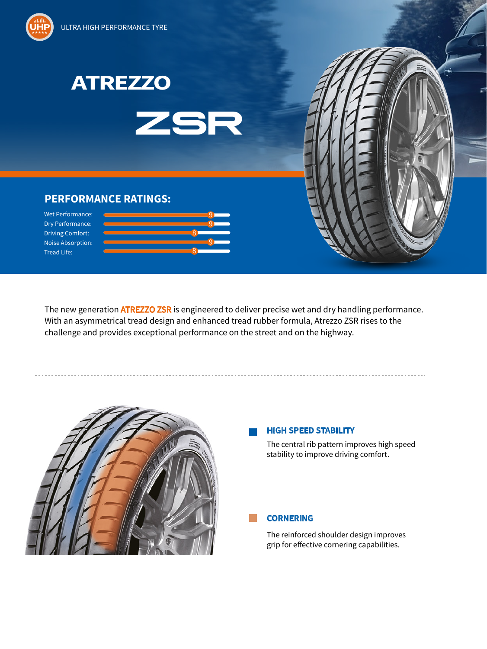





9

9

9

8

8



## **PERFORMANCE RATINGS:**

Wet Performance: Dry Performance: Driving Comfort: Noise Absorption: Tread Life:

The new generation **ATREZZO ZSR** is engineered to deliver precise wet and dry handling performance. With an asymmetrical tread design and enhanced tread rubber formula, Atrezzo ZSR rises to the challenge and provides exceptional performance on the street and on the highway.



#### **HIGH SPEED STABILITY**

The central rib pattern improves high speed stability to improve driving comfort.

**CORNERING**

The reinforced shoulder design improves grip for effective cornering capabilities.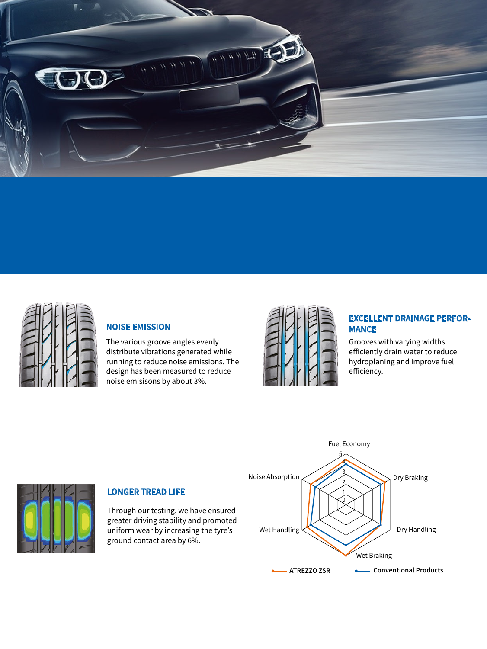



## **NOISE EMISSION**

The various groove angles evenly distribute vibrations generated while running to reduce noise emissions. The design has been measured to reduce noise emisisons by about 3%.



## **EXCELLENT DRAINAGE PERFOR-MANCE**

Grooves with varying widths efficiently drain water to reduce hydroplaning and improve fuel efficiency.



## **LONGER TREAD LIFE**

Through our testing, we have ensured greater driving stability and promoted uniform wear by increasing the tyre's ground contact area by 6%.

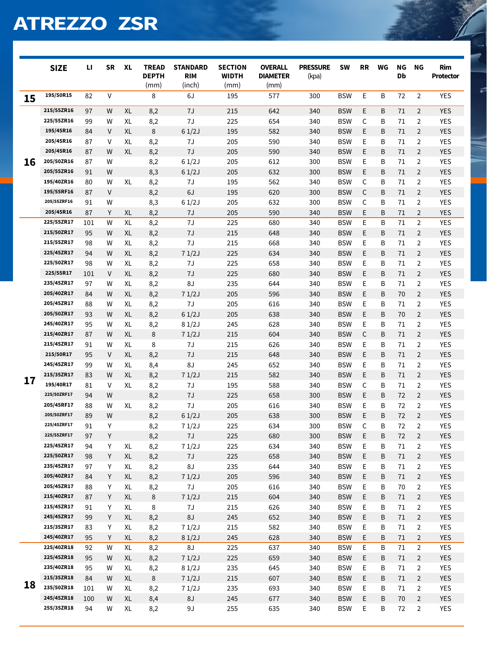# **ATREZZO ZSR**

|    | <b>SIZE</b>              | п        | <b>SR</b>    | <b>XL</b> | <b>TREAD</b><br><b>DEPTH</b><br>(mm) | <b>STANDARD</b><br><b>RIM</b><br>(inch) | <b>SECTION</b><br><b>WIDTH</b><br>(mm) | <b>OVERALL</b><br><b>DIAMETER</b><br>(mm) | <b>PRESSURE</b><br>(kpa) | <b>SW</b>                | <b>RR</b>   | WG     | <b>NG</b><br>Db | ΝG                               | Rim<br>Protector  |
|----|--------------------------|----------|--------------|-----------|--------------------------------------|-----------------------------------------|----------------------------------------|-------------------------------------------|--------------------------|--------------------------|-------------|--------|-----------------|----------------------------------|-------------------|
| 15 | 195/50R15                | 82       | $\mathsf{V}$ |           | 8                                    | 6J                                      | 195                                    | 577                                       | 300                      | <b>BSW</b>               | E           | B      | 72              | $\overline{2}$                   | <b>YES</b>        |
|    | 215/55ZR16               | 97       | W            | <b>XL</b> | 8,2                                  | 7J                                      | 215                                    | 642                                       | 340                      | <b>BSW</b>               | E           | B      | 71              | $\overline{2}$                   | <b>YES</b>        |
|    | 225/55ZR16               | 99       | W            | XL        | 8,2                                  | 7J                                      | 225                                    | 654                                       | 340                      | <b>BSW</b>               | С           | B      | 71              | $\overline{2}$                   | <b>YES</b>        |
|    | 195/45R16                | 84       | $\vee$       | <b>XL</b> | 8                                    | 61/2J                                   | 195                                    | 582                                       | 340                      | <b>BSW</b>               | E           | B      | 71              | $\overline{2}$                   | <b>YES</b>        |
|    | 205/45R16                | 87       | V            | XL        | 8,2                                  | 7J                                      | 205                                    | 590                                       | 340                      | <b>BSW</b>               | E           | B      | 71              | $\overline{2}$                   | <b>YES</b>        |
|    | 205/45R16                | 87       | W            | <b>XL</b> | 8,2                                  | 7J                                      | 205                                    | 590                                       | 340                      | <b>BSW</b>               | E           | B      | 71              | $\overline{2}$                   | <b>YES</b>        |
| 16 | 205/50ZR16               | 87       | W            |           | 8,2                                  | 61/2J                                   | 205                                    | 612                                       | 300                      | <b>BSW</b>               | E           | B      | 71              | $\overline{2}$                   | <b>YES</b>        |
|    | 205/55ZR16               | 91       | W            |           | 8,3                                  | 61/2J                                   | 205                                    | 632                                       | 300                      | <b>BSW</b>               | E           | B      | 71              | $\overline{2}$                   | <b>YES</b>        |
|    | 195/40ZR16               | 80       | W            | XL        | 8,2                                  | 7J                                      | 195                                    | 562                                       | 340                      | <b>BSW</b>               | $\mathsf C$ | B      | 71              | $\overline{2}$                   | <b>YES</b>        |
|    | 195/55RF16               | 87       | $\vee$       |           | 8,2                                  | 6J                                      | 195                                    | 620                                       | 300                      | <b>BSW</b>               | C           | B      | 71              | $\overline{2}$                   | <b>YES</b>        |
|    | 205/55ZRF16              | 91       | W            |           | 8,3                                  | 61/2J                                   | 205                                    | 632                                       | 300                      | <b>BSW</b>               | $\mathsf C$ | B      | 71              | $\overline{2}$                   | <b>YES</b>        |
|    | 205/45R16                | 87       | Υ            | XL        | 8,2                                  | 7J                                      | 205                                    | 590                                       | 340                      | <b>BSW</b>               | E           | B      | 71              | $\overline{2}$                   | <b>YES</b>        |
|    | 225/55ZR17               | 101      | W            | XL        | 8,2                                  | $7J$                                    | 225                                    | 680                                       | 340                      | <b>BSW</b>               | E           | B      | 71              | $\overline{2}$                   | <b>YES</b>        |
|    | 215/50ZR17               | 95       | W            | XL        | 8,2                                  | 7J                                      | 215                                    | 648                                       | 340                      | <b>BSW</b>               | E           | B      | 71              | $\overline{2}$                   | <b>YES</b>        |
|    | 215/55ZR17               | 98       | W            | XL        | 8,2                                  | 7J                                      | 215                                    | 668                                       | 340                      | <b>BSW</b>               | E           | B      | 71              | $\overline{2}$                   | <b>YES</b>        |
|    | 225/45ZR17               | 94       | W            | XL        | 8,2                                  | 71/2J                                   | 225                                    | 634                                       | 340                      | <b>BSW</b>               | E           | B      | 71              | $\overline{2}$                   | <b>YES</b>        |
|    | 225/50ZR17               | 98       | W            | XL        | 8,2                                  | 7J                                      | 225                                    | 658                                       | 340                      | <b>BSW</b>               | E           | B      | 71              | $\overline{2}$                   | <b>YES</b>        |
|    | 225/55R17                | 101      | V            | XL        | 8,2                                  | 7J                                      | 225                                    | 680                                       | 340                      | <b>BSW</b>               | E           | B      | 71              | $\overline{2}$                   | <b>YES</b>        |
|    | 235/45ZR17               | 97       | W            | XL        | 8,2                                  | 8J                                      | 235                                    | 644                                       | 340                      | <b>BSW</b>               | E           | B      | 71              | 2                                | <b>YES</b>        |
|    | 205/40ZR17               | 84       | W            | XL        | 8,2                                  | 71/2J                                   | 205                                    | 596                                       | 340                      | <b>BSW</b>               | E           | B      | 70              | $\overline{2}$                   | <b>YES</b>        |
|    | 205/45ZR17               | 88       | W            | XL        | 8,2                                  | 7J                                      | 205                                    | 616                                       | 340                      | <b>BSW</b>               | E           | B      | 71              | $\overline{2}$                   | <b>YES</b>        |
|    | 205/50ZR17               | 93       | W            | XL        | 8,2                                  | 61/2J                                   | 205                                    | 638                                       | 340                      | <b>BSW</b>               | E           | B      | 70              | $\overline{2}$                   | <b>YES</b>        |
|    | 245/40ZR17               | 95       | W            | XL        | 8,2                                  | 81/2J                                   | 245                                    | 628                                       | 340                      | <b>BSW</b>               | E           | B      | 71              | $\overline{2}$                   | <b>YES</b>        |
|    | 215/40ZR17               | 87       | W            | XL        | 8                                    | 71/2J                                   | 215                                    | 604                                       | 340                      | <b>BSW</b>               | C           | B      | 71              | $\overline{2}$                   | <b>YES</b>        |
|    | 215/45ZR17               | 91       | W            | XL        | 8                                    | $7J$                                    | 215                                    | 626                                       | 340                      | <b>BSW</b>               | E           | B      | 71              | $\overline{2}$                   | <b>YES</b>        |
|    | 215/50R17                | 95       | V            | XL        | 8,2                                  | 7J                                      | 215                                    | 648                                       | 340                      | <b>BSW</b>               | E           | B      | 71              | $\overline{2}$                   | <b>YES</b>        |
|    | 245/45ZR17               | 99       | W            | XL        | 8,4                                  | U8                                      | 245                                    | 652                                       | 340                      | <b>BSW</b>               | Е           | B      | 71              | $\overline{2}$                   | <b>YES</b>        |
| 17 | 215/35ZR17               | 83       | W            | XL        | 8,2                                  | 71/2J                                   | 215                                    | 582                                       | 340                      | <b>BSW</b>               | E           | B      | 71              | $\overline{2}$                   | <b>YES</b>        |
|    | 195/40R17                | 81       | V            | XL        | 8,2                                  | 7J                                      | 195                                    | 588                                       | 340                      | <b>BSW</b>               | C           | B      | 71              | $\overline{2}$                   | <b>YES</b>        |
|    | 225/50ZRF17              | 94       | W            |           | 8,2                                  | 7J                                      | 225                                    | 658                                       | 300                      | <b>BSW</b>               | E           | B      | 72              | $\overline{2}$                   | <b>YES</b>        |
|    | 205/45RF17               | 88       | W            | XL        | 8,2                                  | 7J                                      | 205                                    | 616                                       | 340                      | <b>BSW</b>               | E           | B      | 72              | $\overline{2}$                   | <b>YES</b>        |
|    | 205/50ZRF17              | 89       | W            |           | 8,2                                  | 61/2J                                   | 205                                    | 638                                       | 300                      | <b>BSW</b>               | E           | B      | 72              | $\overline{2}$                   | <b>YES</b>        |
|    | 225/45ZRF17              | 91       | Υ            |           | 8,2                                  | 71/2J                                   | 225                                    | 634                                       | 300                      | <b>BSW</b>               | C.          | B      | 72              | $\overline{2}$                   | <b>YES</b>        |
|    | 225/55ZRF17              | 97       | Y            |           | 8,2                                  | 7J                                      | 225                                    | 680                                       | 300                      | <b>BSW</b>               | E           | B      | 72              | $\overline{2}$                   | <b>YES</b>        |
|    | 225/45ZR17               | 94       | Y            | XL        | 8,2                                  | 71/2J                                   | 225                                    | 634                                       | 340                      | <b>BSW</b>               | E           | Β      | $71\,$          | $\overline{2}$                   | YES               |
|    | 225/50ZR17               | 98       | Y            | XL        | 8,2                                  | 7J                                      | 225                                    | 658                                       | 340                      | <b>BSW</b>               | E           | B      | 71              | $\overline{2}$                   | YES               |
|    | 235/45ZR17               | 97       | Υ            | XL        | 8,2                                  | 8J                                      | 235                                    | 644                                       | 340                      | <b>BSW</b>               | E           | Β      | 71              | $\overline{2}$                   | YES               |
|    | 205/40ZR17               | 84       | Y            | XL        | 8,2                                  | 71/2J                                   | 205                                    | 596                                       | 340                      | <b>BSW</b>               | E           | B      | 71              | $\overline{2}$                   | <b>YES</b>        |
|    | 205/45ZR17<br>215/40ZR17 | 88       | Υ            | XL        | 8,2                                  | 7J                                      | 205                                    | 616                                       | 340                      | <b>BSW</b>               | E           | Β      | 70              | $\overline{2}$                   | YES               |
|    | 215/45ZR17               | 87       | Y            | XL        | 8                                    | 71/2J                                   | 215                                    | 604                                       | 340                      | <b>BSW</b>               | E           | Β      | 71              | $\overline{2}$                   | YES               |
|    | 245/45ZR17               | 91<br>99 | Υ            | XL        | 8                                    | $7J$                                    | 215                                    | 626                                       | 340                      | <b>BSW</b>               | E           | B      | 71              | $\overline{2}$                   | YES               |
|    | 215/35ZR17               |          | Υ            | XL        | 8,2                                  | 8J<br>71/2J                             | 245                                    | 652                                       | 340                      | <b>BSW</b>               | E           | Β      | 71              | $\overline{2}$                   | YES<br><b>YES</b> |
|    | 245/40ZR17               | 83<br>95 | Υ<br>Y       | XL<br>XL  | 8,2                                  | 81/2J                                   | 215<br>245                             | 582<br>628                                | 340<br>340               | <b>BSW</b><br><b>BSW</b> | E.<br>E.    | B<br>B | 71<br>71        | $\overline{2}$<br>$\overline{2}$ | <b>YES</b>        |
|    | 225/40ZR18               | 92       | W            | XL        | 8,2<br>8,2                           | 8J                                      | 225                                    | 637                                       | 340                      | <b>BSW</b>               | E           | B      | 71              | $\overline{2}$                   | YES               |
|    | 225/45ZR18               | 95       | W            | XL        | 8,2                                  | 71/2J                                   | 225                                    | 659                                       | 340                      | <b>BSW</b>               | E,          | Β      | 71              | $\overline{2}$                   | <b>YES</b>        |
|    | 235/40ZR18               | 95       | W            | XL        | 8,2                                  | 81/2J                                   | 235                                    | 645                                       | 340                      | <b>BSW</b>               | E,          | Β      | 71              | $\overline{2}$                   | YES               |
|    | 215/35ZR18               | 84       | W            | XL        | 8                                    | 71/2J                                   | 215                                    | 607                                       | 340                      | <b>BSW</b>               | E,          | Β      | 71              | $\overline{2}$                   | <b>YES</b>        |
| 18 | 235/50ZR18               | 101      | W            | XL        | 8,2                                  | 71/2J                                   | 235                                    | 693                                       | 340                      | <b>BSW</b>               | E           | B      | 71              | $\overline{2}$                   | <b>YES</b>        |
|    | 245/45ZR18               | 100      | W            | XL        | 8,4                                  | 8J                                      | 245                                    | 677                                       | 340                      | <b>BSW</b>               | E           | Β      | $70\,$          | $\overline{2}$                   | YES               |
|    | 255/35ZR18               | 94       | W            | XL        | 8,2                                  | 9J                                      | 255                                    | 635                                       | 340                      | <b>BSW</b>               | E           | B      | 72              | $\overline{2}$                   | YES               |
|    |                          |          |              |           |                                      |                                         |                                        |                                           |                          |                          |             |        |                 |                                  |                   |

 $\overline{z}$